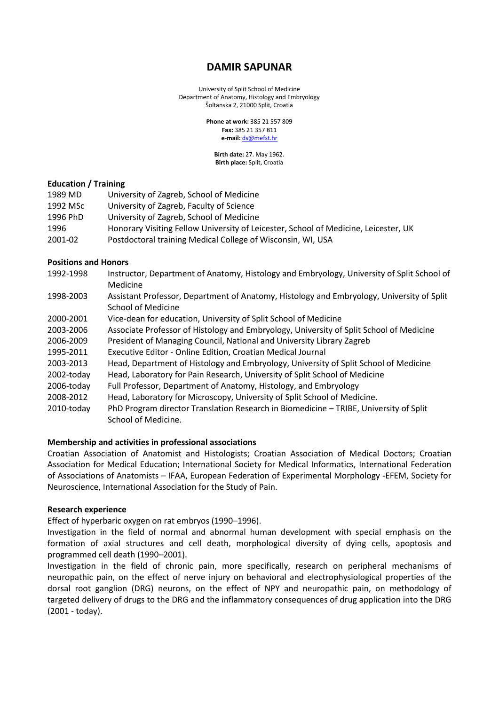# **DAMIR SAPUNAR**

University of Split School of Medicine Department of Anatomy, Histology and Embryology Šoltanska 2, 21000 Split, Croatia

> **Phone at work:** 385 21 557 809 **Fax:** 385 21 357 811 **e‐mail:** [ds@mefst.hr](mailto:ds@mefst.hr)

**Birth date:** 27. May 1962. **Birth place:** Split, Croatia

### **Education / Training**

| 1989 MD  | University of Zagreb, School of Medicine                                            |
|----------|-------------------------------------------------------------------------------------|
| 1992 MSc | University of Zagreb, Faculty of Science                                            |
| 1996 PhD | University of Zagreb, School of Medicine                                            |
| 1996     | Honorary Visiting Fellow University of Leicester, School of Medicine, Leicester, UK |
| 2001-02  | Postdoctoral training Medical College of Wisconsin, WI, USA                         |

### **Positions and Honors**

| 1992-1998  | Instructor, Department of Anatomy, Histology and Embryology, University of Split School of |
|------------|--------------------------------------------------------------------------------------------|
|            | Medicine                                                                                   |
| 1998-2003  | Assistant Professor, Department of Anatomy, Histology and Embryology, University of Split  |
|            | <b>School of Medicine</b>                                                                  |
| 2000-2001  | Vice-dean for education, University of Split School of Medicine                            |
| 2003-2006  | Associate Professor of Histology and Embryology, University of Split School of Medicine    |
| 2006-2009  | President of Managing Council, National and University Library Zagreb                      |
| 1995-2011  | Executive Editor - Online Edition, Croatian Medical Journal                                |
| 2003-2013  | Head, Department of Histology and Embryology, University of Split School of Medicine       |
| 2002-today | Head, Laboratory for Pain Research, University of Split School of Medicine                 |
| 2006-today | Full Professor, Department of Anatomy, Histology, and Embryology                           |
| 2008-2012  | Head, Laboratory for Microscopy, University of Split School of Medicine.                   |
| 2010-today | PhD Program director Translation Research in Biomedicine - TRIBE, University of Split      |
|            | School of Medicine.                                                                        |

### **Membership and activities in professional associations**

Croatian Association of Anatomist and Histologists; Croatian Association of Medical Doctors; Croatian Association for Medical Education; International Society for Medical Informatics, International Federation of Associations of Anatomists – IFAA, European Federation of Experimental Morphology ‐EFEM, Society for Neuroscience, International Association for the Study of Pain.

### **Research experience**

Effect of hyperbaric oxygen on rat embryos (1990–1996).

Investigation in the field of normal and abnormal human development with special emphasis on the formation of axial structures and cell death, morphological diversity of dying cells, apoptosis and programmed cell death (1990–2001).

Investigation in the field of chronic pain, more specifically, research on peripheral mechanisms of neuropathic pain, on the effect of nerve injury on behavioral and electrophysiological properties of the dorsal root ganglion (DRG) neurons, on the effect of NPY and neuropathic pain, on methodology of targeted delivery of drugs to the DRG and the inflammatory consequences of drug application into the DRG (2001 - today).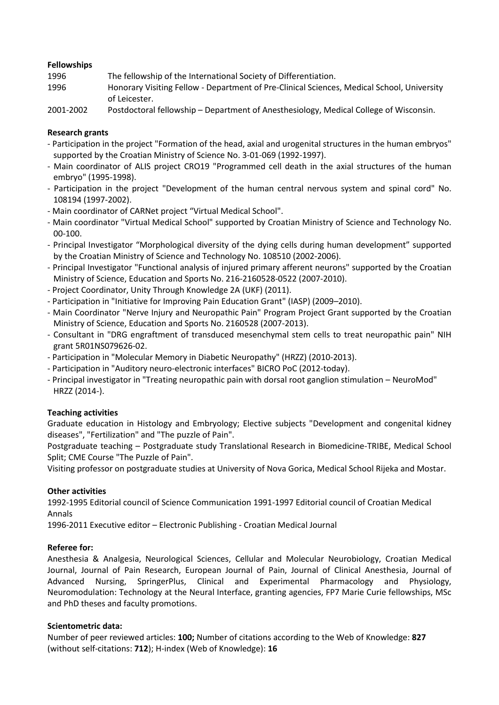### **Fellowships**

| 1996      | The fellowship of the International Society of Differentiation.                            |
|-----------|--------------------------------------------------------------------------------------------|
| 1996      | Honorary Visiting Fellow - Department of Pre-Clinical Sciences, Medical School, University |
|           | of Leicester.                                                                              |
| 2001-2002 | Dostdoctoral fellowship - Department of Aperthesiology, Medical College of Wisconsin       |

2001‐2002 Postdoctoral fellowship – Department of Anesthesiology, Medical College of Wisconsin.

### **Research grants**

- ‐ Participation in the project "Formation of the head, axial and urogenital structures in the human embryos" supported by the Croatian Ministry of Science No. 3‐01‐069 (1992‐1997).
- ‐ Main coordinator of ALIS project CRO19 "Programmed cell death in the axial structures of the human embryo" (1995‐1998).
- ‐ Participation in the project "Development of the human central nervous system and spinal cord" No. 108194 (1997‐2002).
- Main coordinator of CARNet project "Virtual Medical School".
- Main coordinator "Virtual Medical School" supported by Croatian Ministry of Science and Technology No. 00‐100.
- Principal Investigator "Morphological diversity of the dying cells during human development" supported by the Croatian Ministry of Science and Technology No. 108510 (2002‐2006).
- Principal Investigator "Functional analysis of injured primary afferent neurons" supported by the Croatian Ministry of Science, Education and Sports No. 216‐2160528‐0522 (2007‐2010).
- ‐ Project Coordinator, Unity Through Knowledge 2A (UKF) (2011).
- ‐ Participation in "Initiative for Improving Pain Education Grant" (IASP) (2009–2010).
- ‐ Main Coordinator "Nerve Injury and Neuropathic Pain" Program Project Grant supported by the Croatian Ministry of Science, Education and Sports No. 2160528 (2007‐2013).
- ‐ Consultant in "DRG engraftment of transduced mesenchymal stem cells to treat neuropathic pain" NIH grant 5R01NS079626‐02.
- Participation in "Molecular Memory in Diabetic Neuropathy" (HRZZ) (2010‐2013).
- Participation in "Auditory neuro‐electronic interfaces" BICRO PoC (2012‐today).
- Principal investigator in "Treating neuropathic pain with dorsal root ganglion stimulation NeuroMod" HRZZ (2014-).

## **Teaching activities**

Graduate education in Histology and Embryology; Elective subjects "Development and congenital kidney diseases", "Fertilization" and "The puzzle of Pain".

Postgraduate teaching – Postgraduate study Translational Research in Biomedicine‐TRIBE, Medical School Split; CME Course "The Puzzle of Pain".

Visiting professor on postgraduate studies at University of Nova Gorica, Medical School Rijeka and Mostar.

## **Other activities**

1992‐1995 Editorial council of Science Communication 1991‐1997 Editorial council of Croatian Medical Annals

1996‐2011 Executive editor – Electronic Publishing ‐ Croatian Medical Journal

## **Referee for:**

Anesthesia & Analgesia, Neurological Sciences, Cellular and Molecular Neurobiology, Croatian Medical Journal, Journal of Pain Research, European Journal of Pain, Journal of Clinical Anesthesia, Journal of Advanced Nursing, SpringerPlus, Clinical and Experimental Pharmacology and Physiology, Neuromodulation: Technology at the Neural Interface, granting agencies, FP7 Marie Curie fellowships, MSc and PhD theses and faculty promotions.

## **Scientometric data:**

Number of peer reviewed articles: **100;** Number of citations according to the Web of Knowledge: **827** (without self‐citations: **712**); H‐index (Web of Knowledge): **16**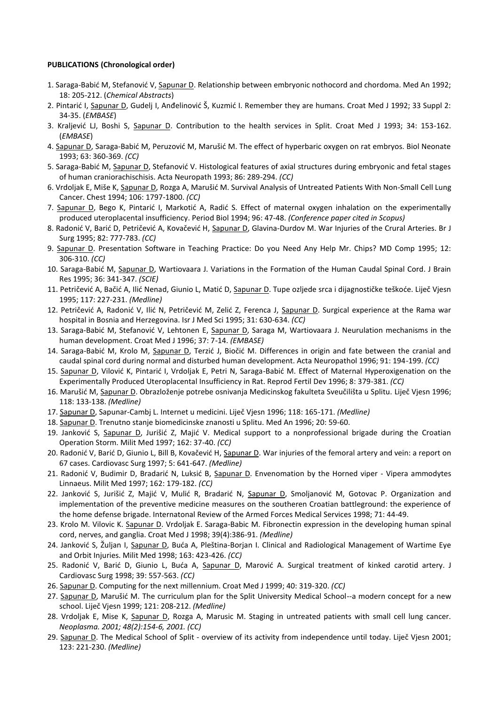### **PUBLICATIONS (Chronological order)**

- 1. Saraga-Babić M, Stefanović V, Sapunar D. Relationship between embryonic nothocord and chordoma. Med An 1992; 18: 205‐212. (*Chemical Abstracts*)
- 2. Pintarić I, Sapunar D, Gudelj I, Anđelinović Š, Kuzmić I. Remember they are humans. Croat Med J 1992; 33 Suppl 2: 34‐35. (*EMBASE*)
- 3. Kraljević LJ, Boshi S, Sapunar D. Contribution to the health services in Split. Croat Med J 1993; 34: 153-162. (*EMBASE*)
- 4. Sapunar D, Saraga-Babić M, Peruzović M, Marušić M. The effect of hyperbaric oxygen on rat embryos. Biol Neonate 1993; 63: 360‐369. *(CC)*
- 5. Saraga-Babić M, Sapunar D, Stefanović V. Histological features of axial structures during embryonic and fetal stages of human craniorachischisis. Acta Neuropath 1993; 86: 289‐294. *(CC)*
- 6. Vrdoljak E, Miše K, Sapunar D, Rozga A, Marušić M. Survival Analysis of Untreated Patients With Non-Small Cell Lung Cancer. Chest 1994; 106: 1797‐1800. *(CC)*
- 7. Sapunar D, Bego K, Pintarić I, Markotić A, Radić S. Effect of maternal oxygen inhalation on the experimentally produced uteroplacental insufficiency. Period Biol 1994; 96: 47‐48. *(Conference paper cited in Scopus)*
- 8. Radonić V, Barić D, Petričević A, Kovačević H, Sapunar D, Glavina‐Durdov M. War Injuries of the Crural Arteries. Br J Surg 1995; 82: 777‐783. *(CC)*
- 9. Sapunar D. Presentation Software in Teaching Practice: Do you Need Any Help Mr. Chips? MD Comp 1995; 12: 306‐310. *(CC)*
- 10. Saraga-Babić M, Sapunar D, Wartiovaara J. Variations in the Formation of the Human Caudal Spinal Cord. J Brain Res 1995; 36: 341‐347. *(SCIE)*
- 11. Petričević A, Bačić A, Ilić Nenad, Giunio L, Matić D, Sapunar D. Tupe ozljede srca i dijagnostičke teškoće. Liječ Vjesn 1995; 117: 227‐231. *(Medline)*
- 12. Petričević A, Radonić V, Ilić N, Petričević M, Zelić Z, Ferenca J, Sapunar D. Surgical experience at the Rama war hospital in Bosnia and Herzegovina. Isr J Med Sci 1995; 31: 630‐634. *(CC)*
- 13. Saraga-Babić M, Stefanović V, Lehtonen E, Sapunar D, Saraga M, Wartiovaara J. Neurulation mechanisms in the human development. Croat Med J 1996; 37: 7‐14. *(EMBASE)*
- 14. Saraga-Babić M, Krolo M, Sapunar D, Terzić J, Biočić M. Differences in origin and fate between the cranial and caudal spinal cord during normal and disturbed human development. Acta Neuropathol 1996; 91: 194‐199. *(CC)*
- 15. Sapunar D, Vilović K, Pintarić I, Vrdoljak E, Petri N, Saraga‐Babić M. Effect of Maternal Hyperoxigenation on the Experimentally Produced Uteroplacental Insufficiency in Rat. Reprod Fertil Dev 1996; 8: 379‐381. *(CC)*
- 16. Marušić M, Sapunar D. Obrazloženje potrebe osnivanja Medicinskog fakulteta Sveučilišta u Splitu. Liječ Vjesn 1996; 118: 133‐138. *(Medline)*
- 17. Sapunar D, Sapunar‐Cambj L. Internet u medicini. Liječ Vjesn 1996; 118: 165‐171. *(Medline)*
- 18. Sapunar D. Trenutno stanje biomedicinske znanosti u Splitu. Med An 1996; 20: 59‐60.
- 19. Janković S, Sapunar D, Jurišić Z, Majić V. Medical support to a nonprofessional brigade during the Croatian Operation Storm. Milit Med 1997; 162: 37‐40. *(CC)*
- 20. Radonić V, Barić D, Giunio L, Bill B, Kovačević H, Sapunar D. War injuries of the femoral artery and vein: a report on 67 cases. Cardiovasc Surg 1997; 5: 641‐647. *(Medline)*
- 21. Radonić V, Budimir D, Bradarić N, Luksić B, Sapunar D. Envenomation by the Horned viper Vipera ammodytes Linnaeus. Milit Med 1997; 162: 179‐182. *(CC)*
- 22. Janković S, Jurišić Z, Majić V, Mulić R, Bradarić N, Sapunar D, Smoljanović M, Gotovac P. Organization and implementation of the preventive medicine measures on the southeren Croatian battleground: the experience of the home defense brigade. Internatonal Review of the Armed Forces Medical Services 1998; 71: 44‐49.
- 23. Krolo M. Vilovic K. Sapunar D. Vrdoljak E. Saraga-Babic M. Fibronectin expression in the developing human spinal cord, nerves, and ganglia. Croat Med J 1998; 39(4):386‐91. *(Medline)*
- 24. Janković S, Žuljan I, Sapunar D, Buća A, Pleština-Borjan I. Clinical and Radiological Management of Wartime Eye and Orbit Injuries. Milit Med 1998; 163: 423‐426. *(CC)*
- 25. Radonić V, Barić D, Giunio L, Buća A, Sapunar D, Marović A. Surgical treatment of kinked carotid artery. J Cardiovasc Surg 1998; 39: 557‐563. *(CC)*
- 26. Sapunar D. Computing for the next millennium. Croat Med J 1999; 40: 319‐320. *(CC)*
- 27. Sapunar D, Marušić M. The curriculum plan for the Split University Medical School--a modern concept for a new school. Liječ Vjesn 1999; 121: 208‐212. *(Medline)*
- 28. Vrdoljak E, Mise K, Sapunar D, Rozga A, Marusic M. Staging in untreated patients with small cell lung cancer. *Neoplasma. 2001; 48(2):154‐6, 2001. (CC)*
- 29. Sapunar D. The Medical School of Split ‐ overview of its activity from independence until today. Liječ Vjesn 2001; 123: 221‐230. *(Medline)*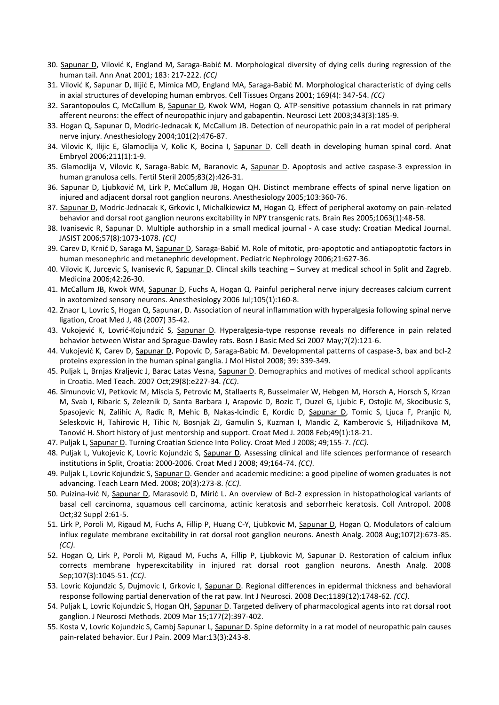- 30. Sapunar D, Vilović K, England M, Saraga-Babić M. Morphological diversity of dying cells during regression of the human tail. Ann Anat 2001; 183: 217‐222. *(CC)*
- 31. Vilović K, Sapunar D, Ilijić E, Mimica MD, England MA, Saraga-Babić M. Morphological characteristic of dying cells in axial structures of developing human embryos. Cell Tissues Organs 2001; 169(4): 347‐54. *(CC)*
- 32. Sarantopoulos C, McCallum B, Sapunar D, Kwok WM, Hogan Q. ATP-sensitive potassium channels in rat primary afferent neurons: the effect of neuropathic injury and gabapentin. Neurosci Lett 2003;343(3):185‐9.
- 33. Hogan Q, Sapunar D, Modric‐Jednacak K, McCallum JB. Detection of neuropathic pain in a rat model of peripheral nerve injury. Anesthesiology 2004;101(2):476‐87.
- 34. Vilovic K, Ilijic E, Glamoclija V, Kolic K, Bocina I, Sapunar D. Cell death in developing human spinal cord. Anat Embryol 2006;211(1):1‐9.
- 35. Glamoclija V, Vilovic K, Saraga-Babic M, Baranovic A, Sapunar D. Apoptosis and active caspase-3 expression in human granulosa cells. Fertil Steril 2005;83(2):426‐31.
- 36. Sapunar D, Ljubković M, Lirk P, McCallum JB, Hogan QH. Distinct membrane effects of spinal nerve ligation on injured and adjacent dorsal root ganglion neurons. Anesthesiology 2005;103:360‐76.
- 37. Sapunar D, Modric-Jednacak K, Grkovic I, Michalkiewicz M, Hogan Q. Effect of peripheral axotomy on pain-related behavior and dorsal root ganglion neurons excitability in NPY transgenic rats. Brain Res 2005;1063(1):48‐58.
- 38. Ivanisevic R, Sapunar D. Multiple authorship in a small medical journal ‐ A case study: Croatian Medical Journal. JASIST 2006;57(8):1073‐1078. *(CC)*
- 39. Carev D, Krnić D, Saraga M, Sapunar D, Saraga-Babić M. Role of mitotic, pro-apoptotic and antiapoptotic factors in human mesonephric and metanephric development. Pediatric Nephrology 2006;21:627‐36.
- 40. Vilovic K, Jurcevic S, Ivanisevic R, Sapunar D. Clincal skills teaching Survey at medical school in Split and Zagreb. Medicina 2006;42:26‐30.
- 41. McCallum JB, Kwok WM, Sapunar D, Fuchs A, Hogan Q. Painful peripheral nerve injury decreases calcium current in axotomized sensory neurons. Anesthesiology 2006 Jul;105(1):160‐8.
- 42. Znaor L, Lovric S, Hogan Q, Sapunar, D. Association of neural inflammation with hyperalgesia following spinal nerve ligation, Croat Med J, 48 (2007) 35‐42.
- 43. Vukojević K, Lovrić-Kojundzić S, Sapunar D. Hyperalgesia-type response reveals no difference in pain related behavior between Wistar and Sprague‐Dawley rats. Bosn J Basic Med Sci 2007 May;7(2):121‐6.
- 44. Vukojević K, Carev D, Sapunar D, Popovic D, Saraga-Babic M. Developmental patterns of caspase-3, bax and bcl-2 proteins expression in the human spinal ganglia. J Mol Histol 2008; 39: 339‐349.
- 45. Puljak L, Brnjas Kraljevic J, Barac Latas Vesna, Sapunar D. Demographics and motives of medical school applicants in Croatia. Med Teach. 2007 Oct;29(8):e227‐34. *(CC)*.
- 46. Simunovic VJ, Petkovic M, Miscia S, Petrovic M, Stallaerts R, Busselmaier W, Hebgen M, Horsch A, Horsch S, Krzan M, Svab I, Ribaric S, Zeleznik D, Santa Barbara J, Arapovic D, Bozic T, Duzel G, Ljubic F, Ostojic M, Skocibusic S, Spasojevic N, Zalihic A, Radic R, Mehic B, Nakas-Icindic E, Kordic D, Sapunar D, Tomic S, Ljuca F, Pranjic N, Seleskovic H, Tahirovic H, Tihic N, Bosnjak ZJ, Gamulin S, Kuzman I, Mandic Z, Kamberovic S, Hiljadnikova M, Tanović H. Short history of just mentorship and support. Croat Med J. 2008 Feb;49(1):18‐21.
- 47. Puljak L, Sapunar D. Turning Croatian Science Into Policy. Croat Med J 2008; 49;155‐7. *(CC)*.
- 48. Puljak L, Vukojevic K, Lovric Kojundzic S, Sapunar D. Assessing clinical and life sciences performance of research institutions in Split, Croatia: 2000‐2006. Croat Med J 2008; 49;164‐74. *(CC)*.
- 49. Puljak L, Lovric Kojundzic S, Sapunar D. Gender and academic medicine: a good pipeline of women graduates is not advancing. Teach Learn Med. 2008; 20(3):273‐8. *(CC)*.
- 50. Puizina-Ivić N, Sapunar D, Marasović D, Mirić L. An overview of Bcl-2 expression in histopathological variants of basal cell carcinoma, squamous cell carcinoma, actinic keratosis and seborrheic keratosis. Coll Antropol. 2008 Oct;32 Suppl 2:61‐5.
- 51. Lirk P, Poroli M, Rigaud M, Fuchs A, Fillip P, Huang C-Y, Ljubkovic M, Sapunar D, Hogan Q. Modulators of calcium influx regulate membrane excitability in rat dorsal root ganglion neurons. Anesth Analg. 2008 Aug;107(2):673‐85. *(CC)*.
- 52. Hogan Q, Lirk P, Poroli M, Rigaud M, Fuchs A, Fillip P, Ljubkovic M, Sapunar D. Restoration of calcium influx corrects membrane hyperexcitability in injured rat dorsal root ganglion neurons. Anesth Analg. 2008 Sep;107(3):1045‐51. *(CC)*.
- 53. Lovric Kojundzic S, Dujmovic I, Grkovic I, Sapunar D. Regional differences in epidermal thickness and behavioral response following partial denervation of the rat paw. Int J Neurosci. 2008 Dec;1189(12):1748‐62. *(CC)*.
- 54. Puljak L, Lovric Kojundzic S, Hogan QH, Sapunar D. Targeted delivery of pharmacological agents into rat dorsal root ganglion. J Neurosci Methods. 2009 Mar 15;177(2):397‐402.
- 55. Kosta V, Lovric Kojundzic S, Cambj Sapunar L, Sapunar D. Spine deformity in a rat model of neuropathic pain causes pain‐related behavior. Eur J Pain. 2009 Mar:13(3):243‐8.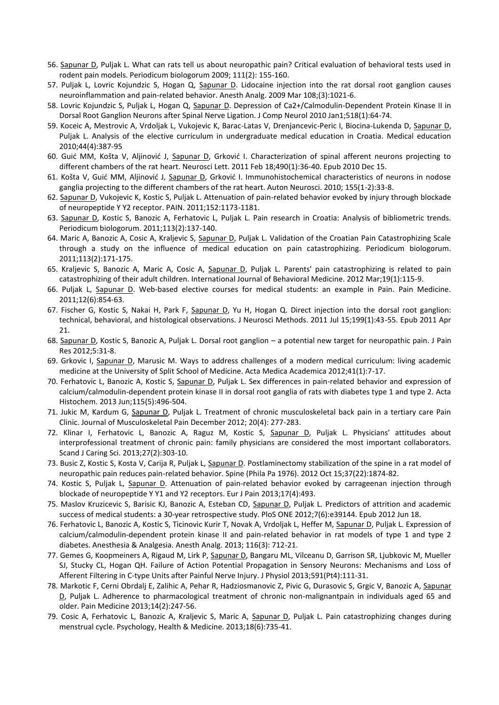- 56. Sapunar D, Puljak L. What can rats tell us about neuropathic pain? Critical evaluation of behavioral tests used in rodent pain models. Periodicum biologorum 2009; 111(2): 155‐160.
- 57. Puljak L, Lovric Kojundzic S, Hogan Q, Sapunar D. Lidocaine injection into the rat dorsal root ganglion causes neuroinflammation and pain‐related behavior. Anesth Analg. 2009 Mar 108;(3):1021‐6.
- 58. Lovric Kojundzic S, Puljak L, Hogan Q, Sapunar D. Depression of Ca2+/Calmodulin-Dependent Protein Kinase II in Dorsal Root Ganglion Neurons after Spinal Nerve Ligation. J Comp Neurol 2010 Jan1;518(1):64‐74.
- 59. Koceic A, Mestrovic A, Vrdoljak L, Vukojevic K, Barac‐Latas V, Drenjancevic‐Peric I, Biocina‐Lukenda D, Sapunar D, Puljak L. Analysis of the elective curriculum in undergraduate medical education in Croatia. Medical education 2010;44(4):387‐95
- 60. Guić MM, Košta V, Aljinović J, Sapunar D, Grković I. Characterization of spinal afferent neurons projecting to different chambers of the rat heart. Neurosci Lett. 2011 Feb 18;490(1):36‐40. Epub 2010 Dec 15.
- 61. Košta V, Guić MM, Aljinović J, Sapunar D, Grković I. Immunohistochemical characteristics of neurons in nodose ganglia projecting to the different chambers of the rat heart. Auton Neurosci. 2010; 155(1‐2):33‐8.
- 62. Sapunar D, Vukojevic K, Kostic S, Puljak L. Attenuation of pain‐related behavior evoked by injury through blockade of neuropeptide Y Y2 receptor. PAIN. 2011;152:1173‐1181.
- 63. Sapunar D, Kostic S, Banozic A, Ferhatovic L, Puljak L. Pain research in Croatia: Analysis of bibliometric trends. Periodicum biologorum. 2011;113(2):137‐140.
- 64. Maric A, Banozic A, Cosic A, Kraljevic S, Sapunar D, Puljak L. Validation of the Croatian Pain Catastrophizing Scale through a study on the influence of medical education on pain catastrophizing. Periodicum biologorum. 2011;113(2):171‐175.
- 65. Kraljevic S, Banozic A, Maric A, Cosic A, Sapunar D, Puljak L. Parents' pain catastrophizing is related to pain catastrophizing of their adult children. International Journal of Behavioral Medicine. 2012 Mar;19(1):115‐9.
- 66. Puljak L, Sapunar D. Web‐based elective courses for medical students: an example in Pain. Pain Medicine. 2011;12(6):854‐63.
- 67. Fischer G, Kostic S, Nakai H, Park F, Sapunar D, Yu H, Hogan Q. Direct injection into the dorsal root ganglion: technical, behavioral, and histological observations. J Neurosci Methods. 2011 Jul 15;199(1):43‐55. Epub 2011 Apr 21.
- 68. Sapunar D, Kostic S, Banozic A, Puljak L. Dorsal root ganglion a potential new target for neuropathic pain. J Pain Res 2012;5:31‐8.
- 69. Grkovic I, Sapunar D, Marusic M. Ways to address challenges of a modern medical curriculum: living academic medicine at the University of Split School of Medicine. Acta Medica Academica 2012;41(1):7‐17.
- 70. Ferhatovic L, Banozic A, Kostic S, Sapunar D, Puljak L. Sex differences in pain-related behavior and expression of calcium/calmodulin‐dependent protein kinase II in dorsal root ganglia of rats with diabetes type 1 and type 2. Acta Histochem. 2013 Jun;115(5):496‐504.
- 71. Jukic M, Kardum G, Sapunar D, Puljak L. Treatment of chronic musculoskeletal back pain in a tertiary care Pain Clinic. Journal of Musculoskeletal Pain December 2012; 20(4): 277‐283.
- 72. Klinar I, Ferhatovic L, Banozic A, Raguz M, Kostic S, Sapunar D, Puljak L. Physicians' attitudes about interprofessional treatment of chronic pain: family physicians are considered the most important collaborators. Scand J Caring Sci. 2013;27(2):303-10.
- 73. Busic Z, Kostic S, Kosta V, Carija R, Puljak L, Sapunar D. Postlaminectomy stabilization of the spine in a rat model of neuropathic pain reduces pain‐related behavior. Spine (Phila Pa 1976). 2012 Oct 15;37(22):1874‐82.
- 74. Kostic S, Puljak L, Sapunar D. Attenuation of pain‐related behavior evoked by carrageenan injection through blockade of neuropeptide Y Y1 and Y2 receptors. Eur J Pain 2013;17(4):493.
- 75. Maslov Kruzicevic S, Barisic KJ, Banozic A, Esteban CD, Sapunar D, Puljak L. Predictors of attrition and academic success of medical students: a 30‐year retrospective study. PloS ONE 2012;7(6):e39144. Epub 2012 Jun 18.
- 76. Ferhatovic L, Banozic A, Kostic S, Ticinovic Kurir T, Novak A, Vrdoljak L, Heffer M, Sapunar D, Puljak L. Expression of calcium/calmodulin‐dependent protein kinase II and pain‐related behavior in rat models of type 1 and type 2 diabetes. Anesthesia & Analgesia. Anesth Analg. 2013; 116(3): 712‐21.
- 77. Gemes G, Koopmeiners A, Rigaud M, Lirk P, Sapunar D, Bangaru ML, Vilceanu D, Garrison SR, Ljubkovic M, Mueller SJ, Stucky CL, Hogan QH. Failure of Action Potential Propagation in Sensory Neurons: Mechanisms and Loss of Afferent Filtering in C‐type Units after Painful Nerve Injury. J Physiol 2013;591(Pt4):111-31.
- 78. Markotic F, Cerni Obrdalj E, Zalihic A, Pehar R, Hadziosmanovic Z, Pivic G, Durasovic S, Grgic V, Banozic A, Sapunar D, Puljak L. Adherence to pharmacological treatment of chronic non-malignantpain in individuals aged 65 and older. Pain Medicine 2013;14(2):247-56.
- 79. Cosic A, Ferhatovic L, Banozic A, Kraljevic S, Maric A, Sapunar D, Puljak L. Pain catastrophizing changes during menstrual cycle. Psychology, Health & Medicine. 2013;18(6):735-41.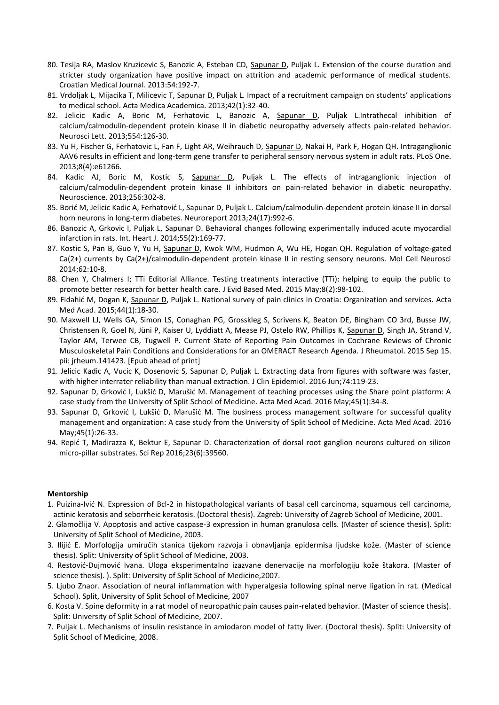- 80. Tesija RA, Maslov Kruzicevic S, Banozic A, Esteban CD, Sapunar D, Puljak L. Extension of the course duration and stricter study organization have positive impact on attrition and academic performance of medical students. Croatian Medical Journal. 2013:54:192‐7.
- 81. Vrdoljak L, Mijacika T, Milicevic T, Sapunar D, Puljak L. Impact of a recruitment campaign on students' applications to medical school. Acta Medica Academica. 2013;42(1):32‐40.
- 82. Jelicic Kadic A, Boric M, Ferhatovic L, Banozic A, Sapunar D, Puljak L.Intrathecal inhibition of calcium/calmodulin‐dependent protein kinase II in diabetic neuropathy adversely affects pain‐related behavior. Neurosci Lett. 2013;554:126-30.
- 83. Yu H, Fischer G, Ferhatovic L, Fan F, Light AR, Weihrauch D, Sapunar D, Nakai H, Park F, Hogan QH. Intraganglionic AAV6 results in efficient and long-term gene transfer to peripheral sensory nervous system in adult rats. PLoS One. 2013;8(4):e61266.
- 84. Kadic AJ, Boric M, Kostic S, Sapunar D, Puljak L. The effects of intraganglionic injection of calcium/calmodulin‐dependent protein kinase II inhibitors on pain‐related behavior in diabetic neuropathy. Neuroscience. 2013;256:302-8.
- 85. Borić M, Jelicic Kadic A, Ferhatović L, Sapunar D, Puljak L. Calcium/calmodulin-dependent protein kinase II in dorsal horn neurons in long-term diabetes. Neuroreport 2013;24(17):992-6.
- 86. Banozic A, Grkovic I, Puljak L, Sapunar D. Behavioral changes following experimentally induced acute myocardial infarction in rats. Int. Heart J. 2014;55(2):169-77.
- 87. Kostic S, Pan B, Guo Y, Yu H, Sapunar D, Kwok WM, Hudmon A, Wu HE, Hogan QH. Regulation of voltage-gated Ca(2+) currents by Ca(2+)/calmodulin-dependent protein kinase II in resting sensory neurons. Mol Cell Neurosci 2014;62:10-8.
- 88. Chen Y, Chalmers I; TTi Editorial Alliance. Testing treatments interactive (TTi): helping to equip the public to promote better research for better health care. J Evid Based Med. 2015 May;8(2):98-102.
- 89. Fidahić M, Dogan K, Sapunar D, Puljak L. National survey of pain clinics in Croatia: Organization and services. Acta Med Acad. 2015;44(1):18-30.
- 90. Maxwell LJ, Wells GA, Simon LS, Conaghan PG, Grosskleg S, Scrivens K, Beaton DE, Bingham CO 3rd, Busse JW, Christensen R, Goel N, Jüni P, Kaiser U, Lyddiatt A, Mease PJ, Ostelo RW, Phillips K, Sapunar D, Singh JA, Strand V, Taylor AM, Terwee CB, Tugwell P. Current State of Reporting Pain Outcomes in Cochrane Reviews of Chronic Musculoskeletal Pain Conditions and Considerations for an OMERACT Research Agenda. J Rheumatol. 2015 Sep 15. pii: jrheum.141423. [Epub ahead of print]
- 91. Jelicic Kadic A, Vucic K, Dosenovic S, Sapunar D, Puljak L. Extracting data from figures with software was faster, with higher interrater reliability than manual extraction. J Clin Epidemiol. 2016 Jun;74:119-23.
- 92. Sapunar D, Grković I, Lukšić D, Marušić M. Management of teaching processes using the Share point platform: A case study from the University of Split School of Medicine. Acta Med Acad. 2016 May;45(1):34-8.
- 93. Sapunar D, Grković I, Lukšić D, Marušić M. The business process management software for successful quality management and organization: A case study from the University of Split School of Medicine. Acta Med Acad. 2016 May;45(1):26-33.
- 94. Repić T, Madirazza K, Bektur E, Sapunar D. Characterization of dorsal root ganglion neurons cultured on silicon micro-pillar substrates. Sci Rep 2016;23(6):39560.

#### **Mentorship**

- 1. Puizina‐Ivić N. Expression of Bcl‐2 in histopathological variants of basal cell carcinoma, squamous cell carcinoma, actinic keratosis and seborrheic keratosis. (Doctoral thesis). Zagreb: University of Zagreb School of Medicine, 2001.
- 2. Glamočlija V. Apoptosis and active caspase‐3 expression in human granulosa cells. (Master of science thesis). Split: University of Split School of Medicine, 2003.
- 3. Ilijić E. Morfologija umiručih stanica tijekom razvoja i obnavljanja epidermisa ljudske kože. (Master of science thesis). Split: University of Split School of Medicine, 2003.
- 4. Restović‐Dujmović Ivana. Uloga eksperimentalno izazvane denervacije na morfologiju kože štakora. (Master of science thesis). ). Split: University of Split School of Medicine,2007.
- 5. Ljubo Znaor. Association of neural inflammation with hyperalgesia following spinal nerve ligation in rat. (Medical School). Split, University of Split School of Medicine, 2007
- 6. Kosta V. Spine deformity in a rat model of neuropathic pain causes pain‐related behavior. (Master of science thesis). Split: University of Split School of Medicine, 2007.
- 7. Puljak L. Mechanisms of insulin resistance in amiodaron model of fatty liver. (Doctoral thesis). Split: University of Split School of Medicine, 2008.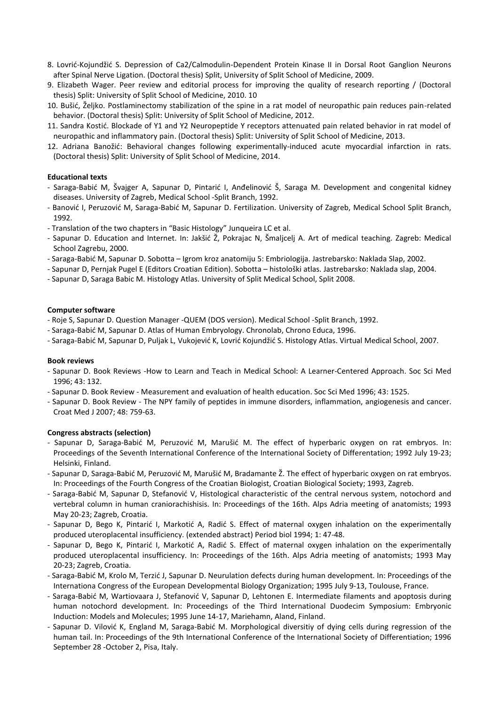- 8. Lovrić‐Kojundžić S. Depression of Ca2/Calmodulin‐Dependent Protein Kinase II in Dorsal Root Ganglion Neurons after Spinal Nerve Ligation. (Doctoral thesis) Split, University of Split School of Medicine, 2009.
- 9. Elizabeth Wager. Peer review and editorial process for improving the quality of research reporting / (Doctoral thesis) Split: University of Split School of Medicine, 2010. 10
- 10. Bušić, Željko. Postlaminectomy stabilization of the spine in a rat model of neuropathic pain reduces pain‐related behavior. (Doctoral thesis) Split: University of Split School of Medicine, 2012.
- 11. Sandra Kostić. Blockade of Y1 and Y2 Neuropeptide Y receptors attenuated pain related behavior in rat model of neuropathic and inflammatory pain. (Doctoral thesis) Split: University of Split School of Medicine, 2013.
- 12. Adriana Banožić: Behavioral changes following experimentally-induced acute myocardial infarction in rats. (Doctoral thesis) Split: University of Split School of Medicine, 2014.

### **Educational texts**

- Saraga‐Babić M, Švajger A, Sapunar D, Pintarić I, Anđelinović Š, Saraga M. Development and congenital kidney diseases. University of Zagreb, Medical School ‐Split Branch, 1992.
- Banović I, Peruzović M, Saraga‐Babić M, Sapunar D. Fertilization. University of Zagreb, Medical School Split Branch, 1992.
- Translation of the two chapters in "Basic Histology" Junqueira LC et al.
- Sapunar D. Education and Internet. In: Jakšić Ž, Pokrajac N, Šmaljcelj A. Art of medical teaching. Zagreb: Medical School Zagrebu, 2000.
- Saraga‐Babić M, Sapunar D. Sobotta Igrom kroz anatomiju 5: Embriologija. Jastrebarsko: Naklada Slap, 2002.
- Sapunar D, Pernjak Pugel E (Editors Croatian Edition). Sobotta histološki atlas. Jastrebarsko: Naklada slap, 2004.
- Sapunar D, Saraga Babic M. Histology Atlas. University of Split Medical School, Split 2008.

#### **Computer software**

- Roje S, Sapunar D. Question Manager ‐QUEM (DOS version). Medical School ‐Split Branch, 1992.
- Saraga‐Babić M, Sapunar D. Atlas of Human Embryology. Chronolab, Chrono Educa, 1996.
- Saraga‐Babić M, Sapunar D, Puljak L, Vukojević K, Lovrić Kojundžić S. Histology Atlas. Virtual Medical School, 2007.

#### **Book reviews**

- Sapunar D. Book Reviews ‐How to Learn and Teach in Medical School: A Learner‐Centered Approach. Soc Sci Med 1996; 43: 132.
- Sapunar D. Book Review Measurement and evaluation of health education. Soc Sci Med 1996; 43: 1525.
- Sapunar D. Book Review The NPY family of peptides in immune disorders, inflammation, angiogenesis and cancer. Croat Med J 2007; 48: 759‐63.

### **Congress abstracts (selection)**

- Sapunar D, Saraga‐Babić M, Peruzović M, Marušić M. The effect of hyperbaric oxygen on rat embryos. In: Proceedings of the Seventh International Conference of the International Society of Differentation; 1992 July 19‐23; Helsinki, Finland.
- Sapunar D, Saraga‐Babić M, Peruzović M, Marušić M, Bradamante Ž. The effect of hyperbaric oxygen on rat embryos. In: Proceedings of the Fourth Congress of the Croatian Biologist, Croatian Biological Society; 1993, Zagreb.
- Saraga‐Babić M, Sapunar D, Stefanović V, Histological characteristic of the central nervous system, notochord and vertebral column in human craniorachishisis. In: Proceedings of the 16th. Alps Adria meeting of anatomists; 1993 May 20‐23; Zagreb, Croatia.
- Sapunar D, Bego K, Pintarić I, Markotić A, Radić S. Effect of maternal oxygen inhalation on the experimentally produced uteroplacental insufficiency. (extended abstract) Period biol 1994; 1: 47‐48.
- Sapunar D, Bego K, Pintarić I, Markotić A, Radić S. Effect of maternal oxygen inhalation on the experimentally produced uteroplacental insufficiency. In: Proceedings of the 16th. Alps Adria meeting of anatomists; 1993 May 20‐23; Zagreb, Croatia.
- Saraga‐Babić M, Krolo M, Terzić J, Sapunar D. Neurulation defects during human development. In: Proceedings of the Internationa Congress of the European Developmental Biology Organization; 1995 July 9‐13, Toulouse, France.
- Saraga‐Babić M, Wartiovaara J, Stefanović V, Sapunar D, Lehtonen E. Intermediate filaments and apoptosis during human notochord development. In: Proceedings of the Third International Duodecim Symposium: Embryonic Induction: Models and Molecules; 1995 June 14‐17, Mariehamn, Aland, Finland.
- Sapunar D. Vilović K, England M, Saraga‐Babić M. Morphological diversitiy of dying cells during regression of the human tail. In: Proceedings of the 9th International Conference of the International Society of Differentiation; 1996 September 28 ‐October 2, Pisa, Italy.